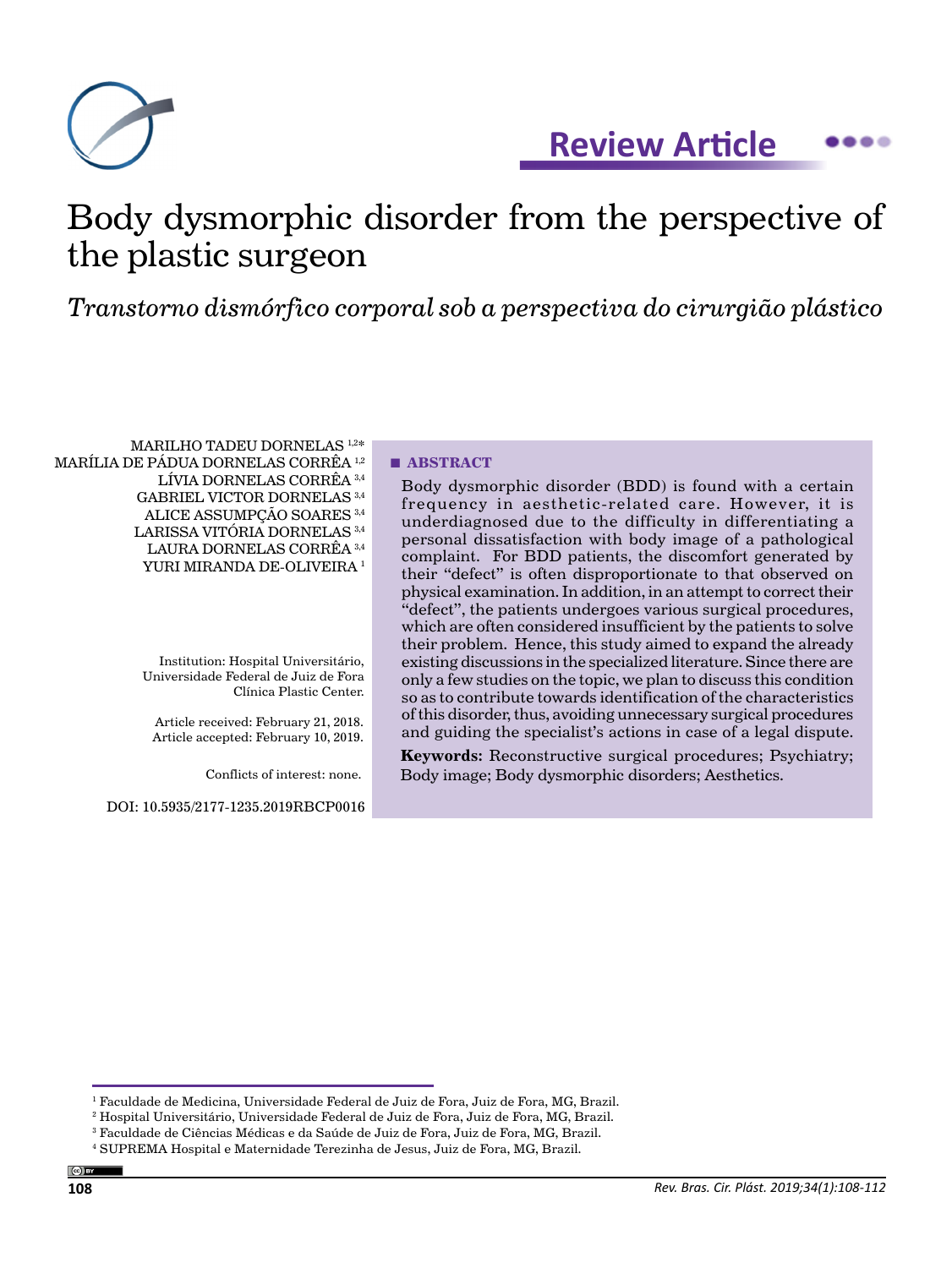

**Review Article**  $\bullet$ 

# Body dysmorphic disorder from the perspective of the plastic surgeon

*Transtorno dismórfico corporal sob a perspectiva do cirurgião plástico*

MARILHO TADEU DORNELAS 1,2\* MARÍLIA DE PÁDUA DORNELAS CORRÊA 1,2 LÍVIA DORNELAS CORRÊA 3,4 GABRIEL VICTOR DORNELAS 3,4 ALICE ASSUMPÇÃO SOARES 3,4 LARISSA VITÓRIA DORNELAS 3,4 LAURA DORNELAS CORRÊA 3,4 YURI MIRANDA DE-OLIVEIRA<sup>1</sup>

> Institution: Hospital Universitário, Universidade Federal de Juiz de Fora Clínica Plastic Center.

Article received: February 21, 2018. Article accepted: February 10, 2019.

Conflicts of interest: none.

DOI: 10.5935/2177-1235.2019RBCP0016

# **■ ABSTRACT**

Body dysmorphic disorder (BDD) is found with a certain frequency in aesthetic-related care. However, it is underdiagnosed due to the difficulty in differentiating a personal dissatisfaction with body image of a pathological complaint. For BDD patients, the discomfort generated by their "defect" is often disproportionate to that observed on physical examination. In addition, in an attempt to correct their "defect", the patients undergoes various surgical procedures, which are often considered insufficient by the patients to solve their problem. Hence, this study aimed to expand the already existing discussions in the specialized literature. Since there are only a few studies on the topic, we plan to discuss this condition so as to contribute towards identification of the characteristics of this disorder, thus, avoiding unnecessary surgical procedures and guiding the specialist's actions in case of a legal dispute.

**Keywords:** Reconstructive surgical procedures; Psychiatry; Body image; Body dysmorphic disorders; Aesthetics.

<sup>1</sup> Faculdade de Medicina, Universidade Federal de Juiz de Fora, Juiz de Fora, MG, Brazil.

 $^{\rm 2}$  Hospital Universitário, Universidade Federal de Juiz de Fora, Juiz de Fora, MG, Brazil.

 $^3$  Faculdade de Ciências Médicas e da Saúde de Juiz de Fora, Juiz de Fora, MG, Brazil.

<sup>4</sup> SUPREMA Hospital e Maternidade Terezinha de Jesus, Juiz de Fora, MG, Brazil.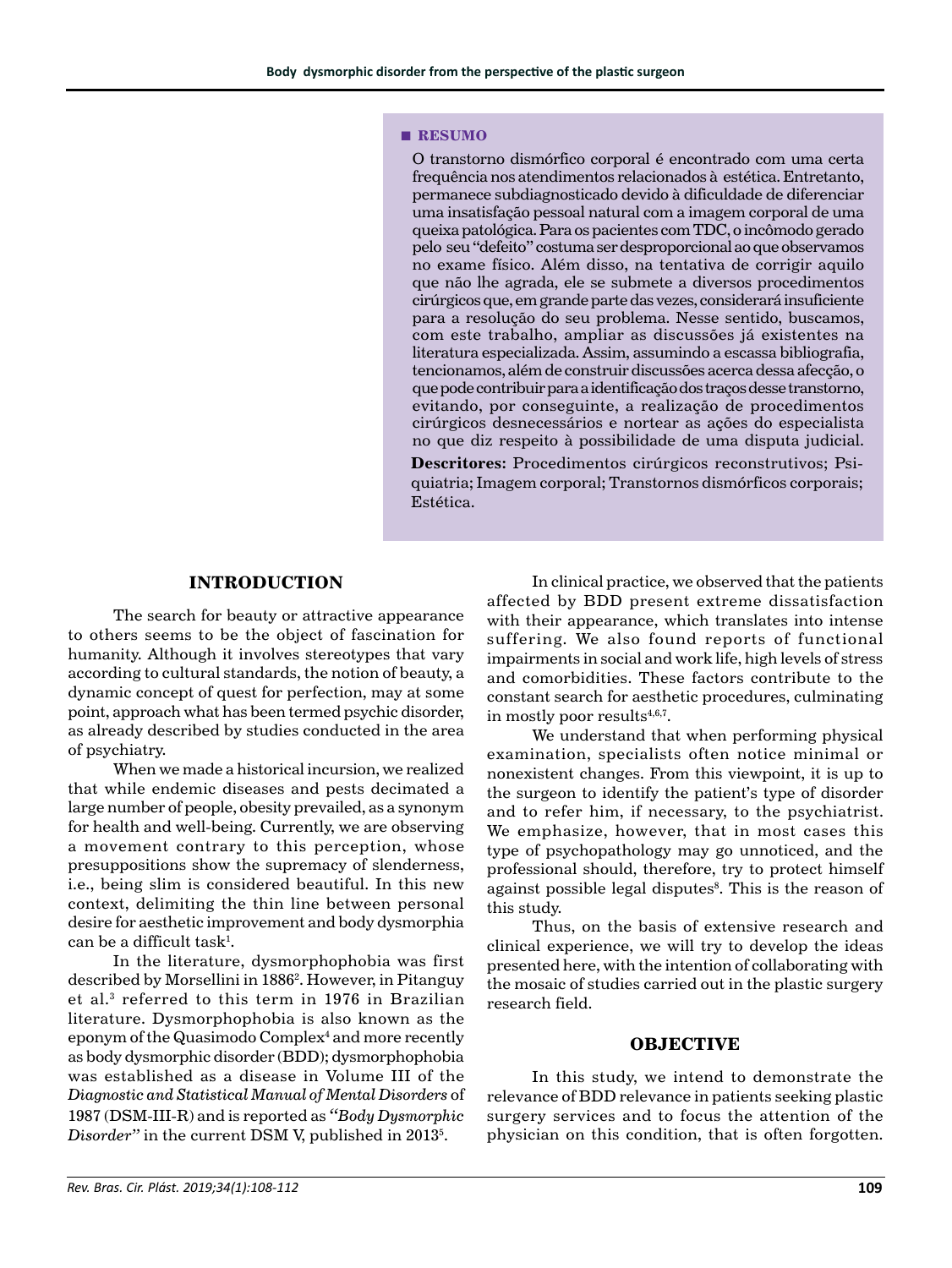#### **■ RESUMO**

O transtorno dismórfico corporal é encontrado com uma certa frequência nos atendimentos relacionados à estética. Entretanto, permanece subdiagnosticado devido à dificuldade de diferenciar uma insatisfação pessoal natural com a imagem corporal de uma queixa patológica. Para os pacientes com TDC, o incômodo gerado pelo seu "defeito" costuma ser desproporcional ao que observamos no exame físico. Além disso, na tentativa de corrigir aquilo que não lhe agrada, ele se submete a diversos procedimentos cirúrgicos que, em grande parte das vezes, considerará insuficiente para a resolução do seu problema. Nesse sentido, buscamos, com este trabalho, ampliar as discussões já existentes na literatura especializada. Assim, assumindo a escassa bibliografia, tencionamos, além de construir discussões acerca dessa afecção, o que pode contribuir para a identificação dos traços desse transtorno, evitando, por conseguinte, a realização de procedimentos cirúrgicos desnecessários e nortear as ações do especialista no que diz respeito à possibilidade de uma disputa judicial.

**Descritores:** Procedimentos cirúrgicos reconstrutivos; Psiquiatria; Imagem corporal; Transtornos dismórficos corporais; Estética.

# **INTRODUCTION**

The search for beauty or attractive appearance to others seems to be the object of fascination for humanity. Although it involves stereotypes that vary according to cultural standards, the notion of beauty, a dynamic concept of quest for perfection, may at some point, approach what has been termed psychic disorder, as already described by studies conducted in the area of psychiatry.

When we made a historical incursion, we realized that while endemic diseases and pests decimated a large number of people, obesity prevailed, as a synonym for health and well-being. Currently, we are observing a movement contrary to this perception, whose presuppositions show the supremacy of slenderness, i.e., being slim is considered beautiful. In this new context, delimiting the thin line between personal desire for aesthetic improvement and body dysmorphia can be a difficult task $^{\rm l}$ .

In the literature, dysmorphophobia was first described by Morsellini in 18862 . However, in Pitanguy et al.3 referred to this term in 1976 in Brazilian literature. Dysmorphophobia is also known as the eponym of the Quasimodo Complex<sup>4</sup> and more recently as body dysmorphic disorder (BDD); dysmorphophobia was established as a disease in Volume III of the *Diagnostic and Statistical Manual of Mental Disorders* of 1987 (DSM-III-R) and is reported as *"Body Dysmorphic*  Disorder" in the current DSM V, published in 2013<sup>5</sup>.

In clinical practice, we observed that the patients affected by BDD present extreme dissatisfaction with their appearance, which translates into intense suffering. We also found reports of functional impairments in social and work life, high levels of stress and comorbidities. These factors contribute to the constant search for aesthetic procedures, culminating in mostly poor results $4,6,7$ .

We understand that when performing physical examination, specialists often notice minimal or nonexistent changes. From this viewpoint, it is up to the surgeon to identify the patient's type of disorder and to refer him, if necessary, to the psychiatrist. We emphasize, however, that in most cases this type of psychopathology may go unnoticed, and the professional should, therefore, try to protect himself against possible legal disputes<sup>8</sup>. This is the reason of this study.

Thus, on the basis of extensive research and clinical experience, we will try to develop the ideas presented here, with the intention of collaborating with the mosaic of studies carried out in the plastic surgery research field.

#### **OBJECTIVE**

In this study, we intend to demonstrate the relevance of BDD relevance in patients seeking plastic surgery services and to focus the attention of the physician on this condition, that is often forgotten.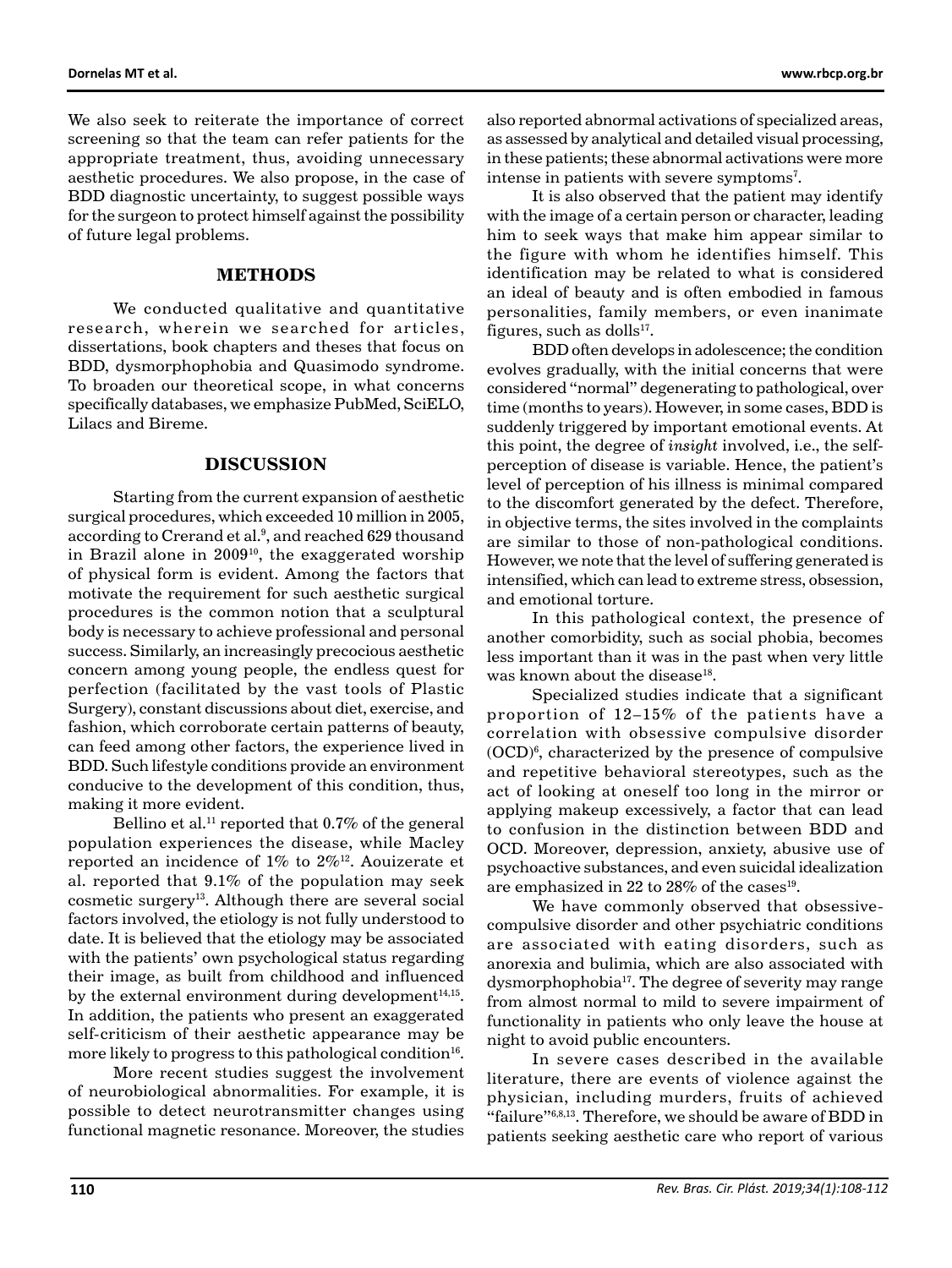We also seek to reiterate the importance of correct screening so that the team can refer patients for the appropriate treatment, thus, avoiding unnecessary aesthetic procedures. We also propose, in the case of BDD diagnostic uncertainty, to suggest possible ways for the surgeon to protect himself against the possibility of future legal problems.

## **METHODS**

We conducted qualitative and quantitative research, wherein we searched for articles, dissertations, book chapters and theses that focus on BDD, dysmorphophobia and Quasimodo syndrome. To broaden our theoretical scope, in what concerns specifically databases, we emphasize PubMed, SciELO, Lilacs and Bireme.

#### **DISCUSSION**

Starting from the current expansion of aesthetic surgical procedures, which exceeded 10 million in 2005, according to Crerand et al.<sup>9</sup>, and reached 629 thousand in Brazil alone in  $2009^{10}$ , the exaggerated worship of physical form is evident. Among the factors that motivate the requirement for such aesthetic surgical procedures is the common notion that a sculptural body is necessary to achieve professional and personal success. Similarly, an increasingly precocious aesthetic concern among young people, the endless quest for perfection (facilitated by the vast tools of Plastic Surgery), constant discussions about diet, exercise, and fashion, which corroborate certain patterns of beauty, can feed among other factors, the experience lived in BDD. Such lifestyle conditions provide an environment conducive to the development of this condition, thus, making it more evident.

Bellino et al.<sup>11</sup> reported that  $0.7\%$  of the general population experiences the disease, while Macley reported an incidence of  $1\%$  to  $2\%$ <sup>12</sup>. Aouizerate et al. reported that 9.1% of the population may seek cosmetic surgery<sup>13</sup>. Although there are several social factors involved, the etiology is not fully understood to date. It is believed that the etiology may be associated with the patients' own psychological status regarding their image, as built from childhood and influenced by the external environment during development $14,15$ . In addition, the patients who present an exaggerated self-criticism of their aesthetic appearance may be more likely to progress to this pathological condition<sup>16</sup>.

More recent studies suggest the involvement of neurobiological abnormalities. For example, it is possible to detect neurotransmitter changes using functional magnetic resonance. Moreover, the studies also reported abnormal activations of specialized areas, as assessed by analytical and detailed visual processing, in these patients; these abnormal activations were more intense in patients with severe symptoms<sup>7</sup>.

It is also observed that the patient may identify with the image of a certain person or character, leading him to seek ways that make him appear similar to the figure with whom he identifies himself. This identification may be related to what is considered an ideal of beauty and is often embodied in famous personalities, family members, or even inanimate figures, such as  $d$ olls<sup>17</sup>.

BDD often develops in adolescence; the condition evolves gradually, with the initial concerns that were considered "normal" degenerating to pathological, over time (months to years). However, in some cases, BDD is suddenly triggered by important emotional events. At this point, the degree of *insight* involved, i.e., the selfperception of disease is variable. Hence, the patient's level of perception of his illness is minimal compared to the discomfort generated by the defect. Therefore, in objective terms, the sites involved in the complaints are similar to those of non-pathological conditions. However, we note that the level of suffering generated is intensified, which can lead to extreme stress, obsession, and emotional torture.

In this pathological context, the presence of another comorbidity, such as social phobia, becomes less important than it was in the past when very little was known about the disease<sup>18</sup>.

Specialized studies indicate that a significant proportion of 12–15% of the patients have a correlation with obsessive compulsive disorder  $(OCD)<sup>6</sup>$ , characterized by the presence of compulsive and repetitive behavioral stereotypes, such as the act of looking at oneself too long in the mirror or applying makeup excessively, a factor that can lead to confusion in the distinction between BDD and OCD. Moreover, depression, anxiety, abusive use of psychoactive substances, and even suicidal idealization are emphasized in 22 to 28% of the cases<sup>19</sup>.

We have commonly observed that obsessivecompulsive disorder and other psychiatric conditions are associated with eating disorders, such as anorexia and bulimia, which are also associated with dysmorphophobia17. The degree of severity may range from almost normal to mild to severe impairment of functionality in patients who only leave the house at night to avoid public encounters.

In severe cases described in the available literature, there are events of violence against the physician, including murders, fruits of achieved "failure"6,8,13. Therefore, we should be aware of BDD in patients seeking aesthetic care who report of various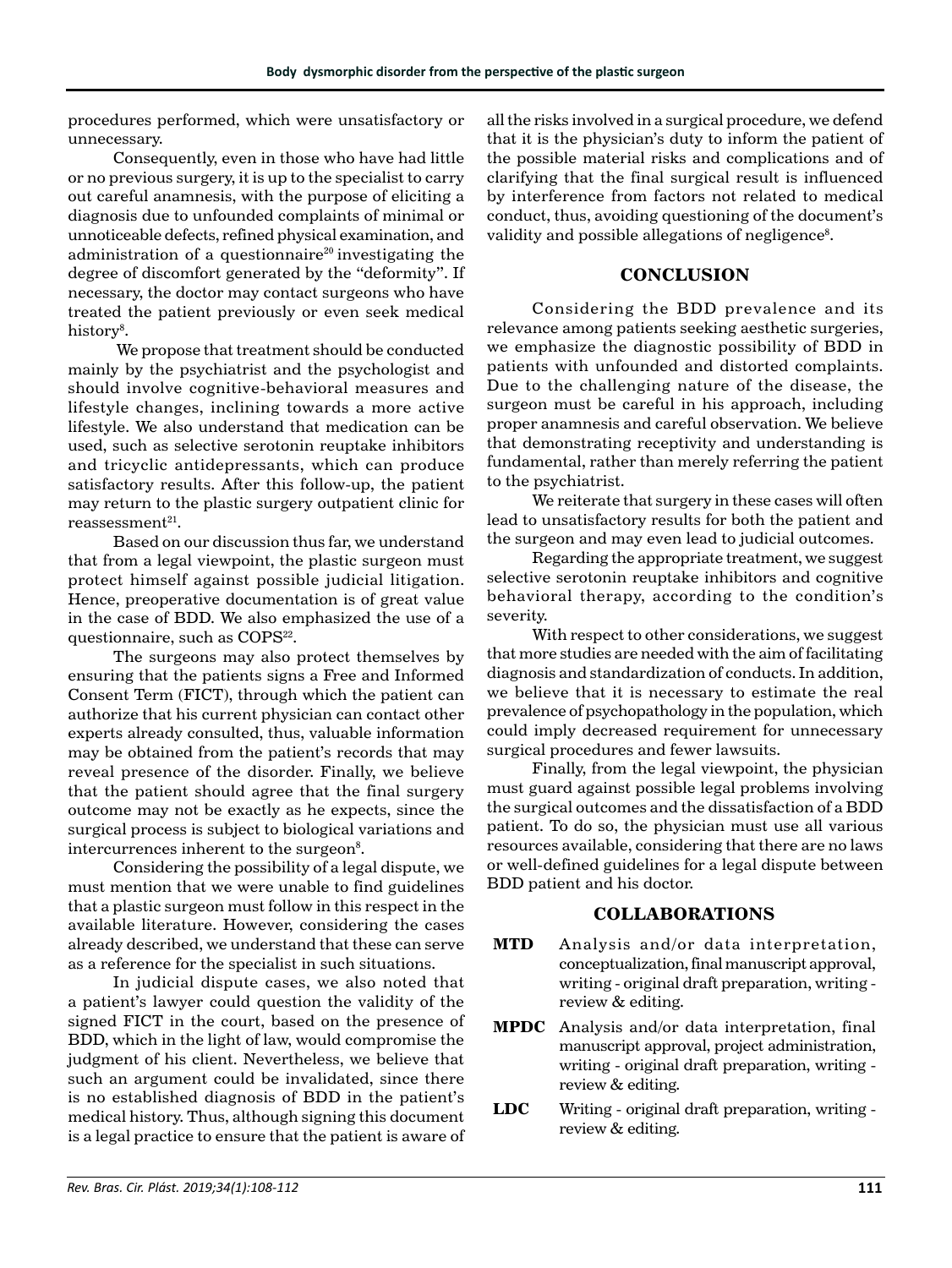procedures performed, which were unsatisfactory or unnecessary.

Consequently, even in those who have had little or no previous surgery, it is up to the specialist to carry out careful anamnesis, with the purpose of eliciting a diagnosis due to unfounded complaints of minimal or unnoticeable defects, refined physical examination, and administration of a questionnaire<sup>20</sup> investigating the degree of discomfort generated by the "deformity". If necessary, the doctor may contact surgeons who have treated the patient previously or even seek medical  ${\rm history}^8.$ 

 We propose that treatment should be conducted mainly by the psychiatrist and the psychologist and should involve cognitive-behavioral measures and lifestyle changes, inclining towards a more active lifestyle. We also understand that medication can be used, such as selective serotonin reuptake inhibitors and tricyclic antidepressants, which can produce satisfactory results. After this follow-up, the patient may return to the plastic surgery outpatient clinic for  $reassessment<sup>21</sup>$ .

Based on our discussion thus far, we understand that from a legal viewpoint, the plastic surgeon must protect himself against possible judicial litigation. Hence, preoperative documentation is of great value in the case of BDD. We also emphasized the use of a questionnaire, such as COPS<sup>22</sup>.

The surgeons may also protect themselves by ensuring that the patients signs a Free and Informed Consent Term (FICT), through which the patient can authorize that his current physician can contact other experts already consulted, thus, valuable information may be obtained from the patient's records that may reveal presence of the disorder. Finally, we believe that the patient should agree that the final surgery outcome may not be exactly as he expects, since the surgical process is subject to biological variations and intercurrences inherent to the surgeon $8$ .

Considering the possibility of a legal dispute, we must mention that we were unable to find guidelines that a plastic surgeon must follow in this respect in the available literature. However, considering the cases already described, we understand that these can serve as a reference for the specialist in such situations.

In judicial dispute cases, we also noted that a patient's lawyer could question the validity of the signed FICT in the court, based on the presence of BDD, which in the light of law, would compromise the judgment of his client. Nevertheless, we believe that such an argument could be invalidated, since there is no established diagnosis of BDD in the patient's medical history. Thus, although signing this document is a legal practice to ensure that the patient is aware of

all the risks involved in a surgical procedure, we defend that it is the physician's duty to inform the patient of the possible material risks and complications and of clarifying that the final surgical result is influenced by interference from factors not related to medical conduct, thus, avoiding questioning of the document's validity and possible allegations of negligence<sup>8</sup>.

# **CONCLUSION**

Considering the BDD prevalence and its relevance among patients seeking aesthetic surgeries, we emphasize the diagnostic possibility of BDD in patients with unfounded and distorted complaints. Due to the challenging nature of the disease, the surgeon must be careful in his approach, including proper anamnesis and careful observation. We believe that demonstrating receptivity and understanding is fundamental, rather than merely referring the patient to the psychiatrist.

We reiterate that surgery in these cases will often lead to unsatisfactory results for both the patient and the surgeon and may even lead to judicial outcomes.

Regarding the appropriate treatment, we suggest selective serotonin reuptake inhibitors and cognitive behavioral therapy, according to the condition's severity.

With respect to other considerations, we suggest that more studies are needed with the aim of facilitating diagnosis and standardization of conducts. In addition, we believe that it is necessary to estimate the real prevalence of psychopathology in the population, which could imply decreased requirement for unnecessary surgical procedures and fewer lawsuits.

Finally, from the legal viewpoint, the physician must guard against possible legal problems involving the surgical outcomes and the dissatisfaction of a BDD patient. To do so, the physician must use all various resources available, considering that there are no laws or well-defined guidelines for a legal dispute between BDD patient and his doctor.

# **COLLABORATIONS**

- **MTD** Analysis and/or data interpretation, conceptualization, final manuscript approval, writing - original draft preparation, writing review & editing.
- **MPDC** Analysis and/or data interpretation, final manuscript approval, project administration, writing - original draft preparation, writing review & editing.
- **LDC** Writing original draft preparation, writing review & editing.